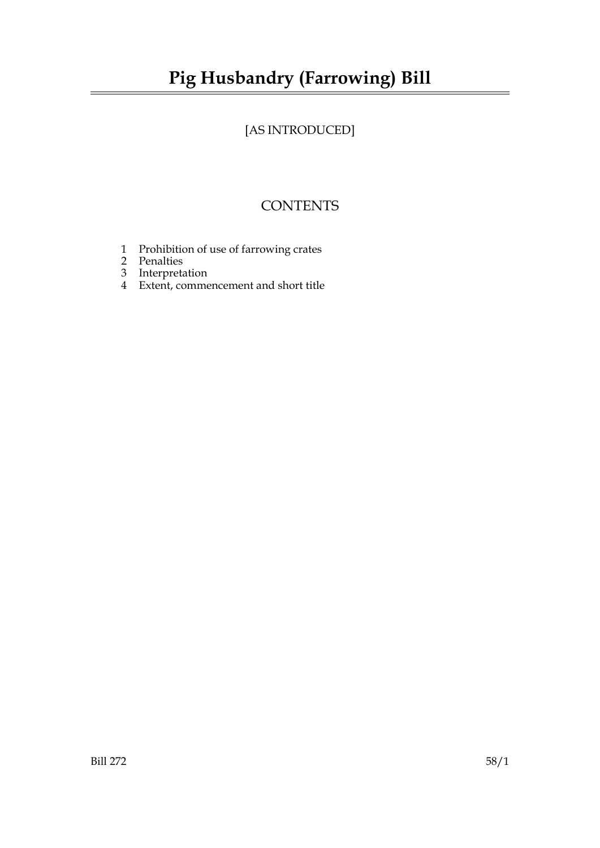# [AS INTRODUCED]

## **CONTENTS**

- 1 Prohibition of use of farrowing crates
- 2 Penalties
- 3 Interpretation
- 4 Extent, commencement and short title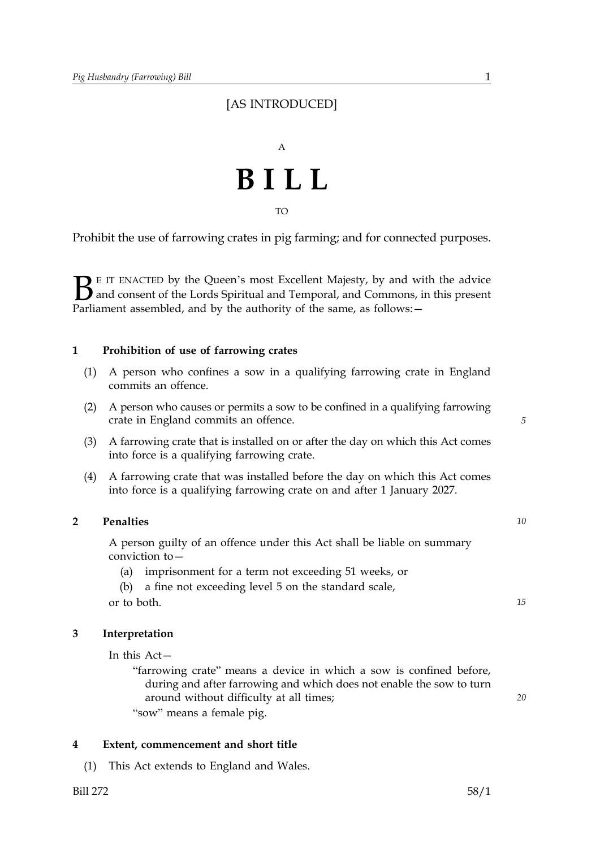### [AS INTRODUCED]



TO

Prohibit the use of farrowing crates in pig farming; and for connected purposes.

 $\sum$  E IT ENACTED by the Queen's most Excellent Majesty, by and with the advice<br>and consent of the Lords Spiritual and Temporal, and Commons, in this present<br>Parliament assembled, and by the authority of the same, as foll and consent of the Lords Spiritual and Temporal, and Commons, in this present Parliament assembled, and by the authority of the same, as follows: -

#### **1 Prohibition of use of farrowing crates**

- (1) A person who confines a sow in a qualifying farrowing crate in England commits an offence.
- (2) A person who causes or permits a sow to be confined in a qualifying farrowing crate in England commits an offence.
- (3) A farrowing crate that is installed on or after the day on which this Act comes into force is a qualifying farrowing crate.
- (4) A farrowing crate that was installed before the day on which this Act comes into force is a qualifying farrowing crate on and after 1 January 2027.

#### **2 Penalties** *10*

A person guilty of an offence under this Act shall be liable on summary conviction to—

(a) imprisonment for a term not exceeding 51 weeks, or

(b) a fine not exceeding level 5 on the standard scale, or to both. *15* 

#### **3 Interpretation**

In this Act—

"farrowing crate" means a device in which a sow is confined before, during and after farrowing and which does not enable the sow to turn around without difficulty at all times; "sow" means a female pig.

#### **4 Extent, commencement and short title**

(1) This Act extends to England and Wales.

*5* 

*20*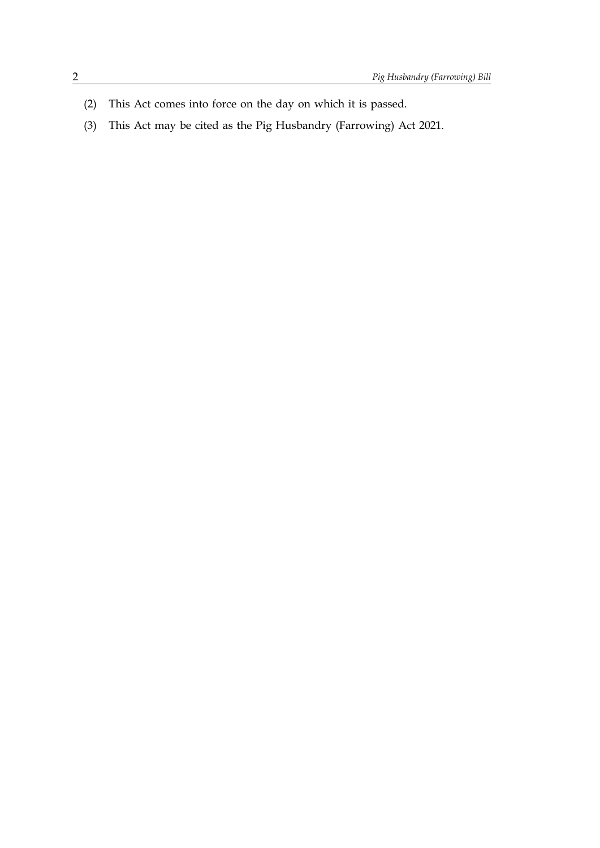- (2) This Act comes into force on the day on which it is passed.
- (3) This Act may be cited as the Pig Husbandry (Farrowing) Act 2021.